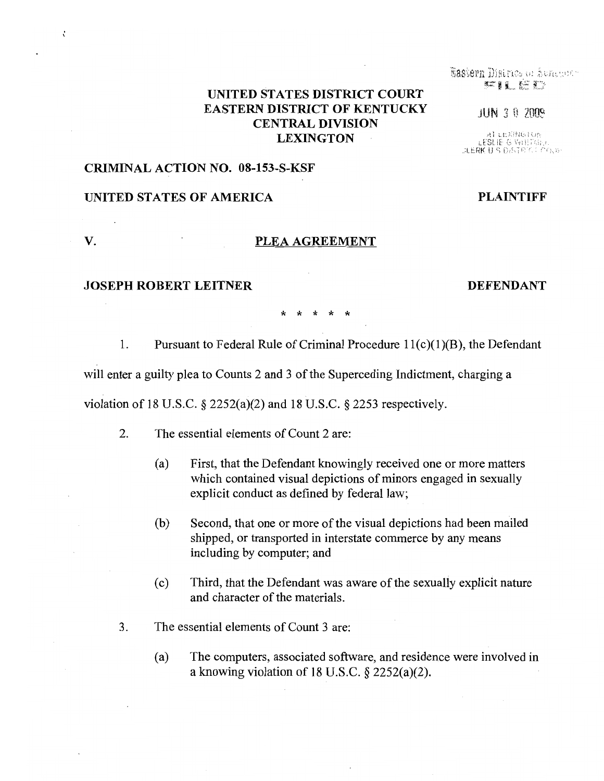# UNITED STATES DISTRICT COURT EASTERN DISTRICT OF KENTUCKY CENTRAL DIVISION  $\textbf{LEXINGTON} \begin{array}{ll} \textbf{A} \text{LEXING} \ \textbf{LEMIC} \end{array}$

### CRIMINAL ACTION NO. 08-153-S-KSF

## UNITED STATES OF AMERICA PLAINTIFF

## V. PLEA AGREEMENT

### JOSEPH ROBERT LEITNER DEFENDANT

\* \* \* \* \*

1. Pursuant to Federal Rule of Criminal Procedure  $11(c)(1)(B)$ , the Defendant

will enter a guilty plea to Counts 2 and 3 of the Superceding Indictment, charging a

violation of 18 U.S.C.  $\S$  2252(a)(2) and 18 U.S.C.  $\S$  2253 respectively.

- 2. The essential elements of Count 2 are:
	- (a) First, that the Defendant knowingly received one or more matters which contained visual depictions of minors engaged in sexually explicit conduct as defined by federal law;
	- (b) Second, that one or more of the visual depictions had been mailed shipped, or transported in interstate commerce by any means including by computer; and
	- (c) Third, that the Defendant was aware ofthe sexually explicit nature and character of the materials.
- 3. The essential elements of Count 3 are:
	- (a) The computers, associated software, and residence were involved in a knowing violation of 18 U.S.C. § 2252(a)(2).

Eastern District of Aungerty FILED

**JUN 3 8 2009** 

:l.:::RK U ,;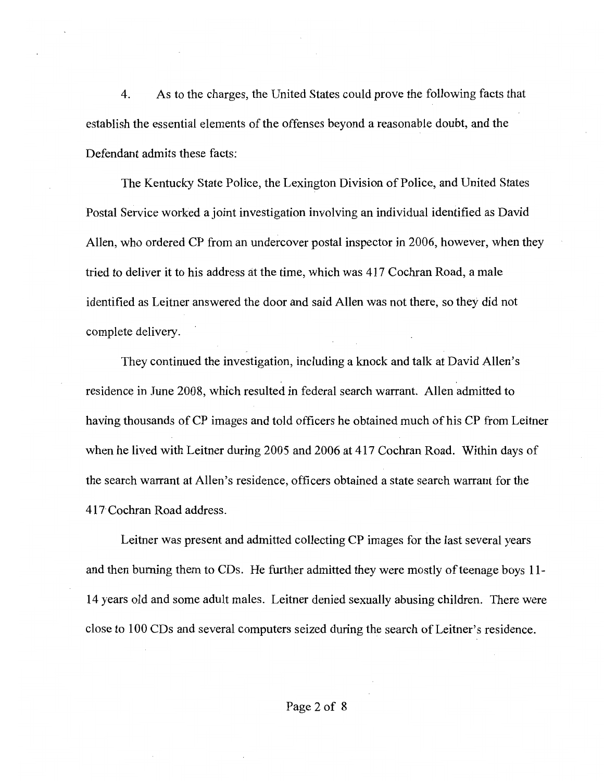4. As to the charges, the United States could prove the following facts that establish the essential elements of the offenses beyond a reasonable doubt, and the Defendant admits these facts:

The Kentucky State Police, the Lexington Division of Police, and United States Postal Service worked a joint investigation involving an individual identified as David Allen, who ordered CP from an undercover postal inspector in 2006, however, when they tried to deliver it to his address at the time, which was 417 Cochran Road, a male identified as Leitner answered the door and said Allen was not there, so they did not complete delivery.

They continued the investigation, including a knock and talk at David Allen's residence in June 2008, which resulted in federal search warrant. Allen admitted to having thousands of CP images and told officers he obtained much of his CP from Leitner when he lived with Leitner during 2005 and 2006 at 417 Cochran Road. Within days of the search warrant at Allen's residence, officers obtained a state search warrant for the 417 Cochran Road address.

Leitner was present and admitted collecting CP images for the last several years and then burning them to CDs. He further admitted they were mostly of teenage boys 11-14 years old and some adult males. Leitner denied sexually abusing children. There were close to 100 CDs and several computers seized during the search of Leitner's residence.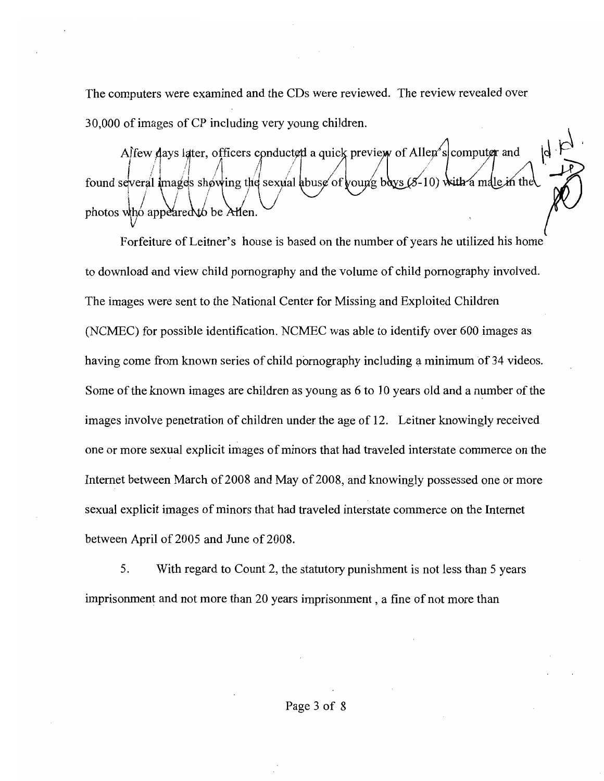The computers were examined and the CDs were reviewed. The review revealed over 30,000 ofimages of CP including very young children.

Affew days latter, officers conducted a quick preview of Allen's computer and found several images showing the sexual abuse of young boys  $(5-10)$  with a male in the  $\frac{1}{2}$  is approximately be  $\frac{1}{2}$ photos who appeared to be Allen.  $\bigvee$ 

Forfeiture of Leitner's house is based on the number of years he utilized his home to download and view child pornography and the volume of child pornography involved. The images were sent to the National Center for Missing and Exploited Children (NCMEC) for possible identification. NCMEC was able to identify over 600 images as having come from known series of child pornography including a minimum of 34 videos. Some of the known images are children as young as 6 to 10 years old and a number of the images involve penetration of children under the age of 12. Leitner knowingly received one or more sexual explicit images of minors that had traveled interstate commerce on the Internet between March of 2008 and May of 2008, and knowingly possessed one or more sexual explicit images of minors that had traveled interstate commerce on the Internet between April of 2005 and June of 2008.

5. With regard to Count 2, the statutory punishment is not less than 5 years imprisonment and not more than 20 years imprisonment, a fine of not more than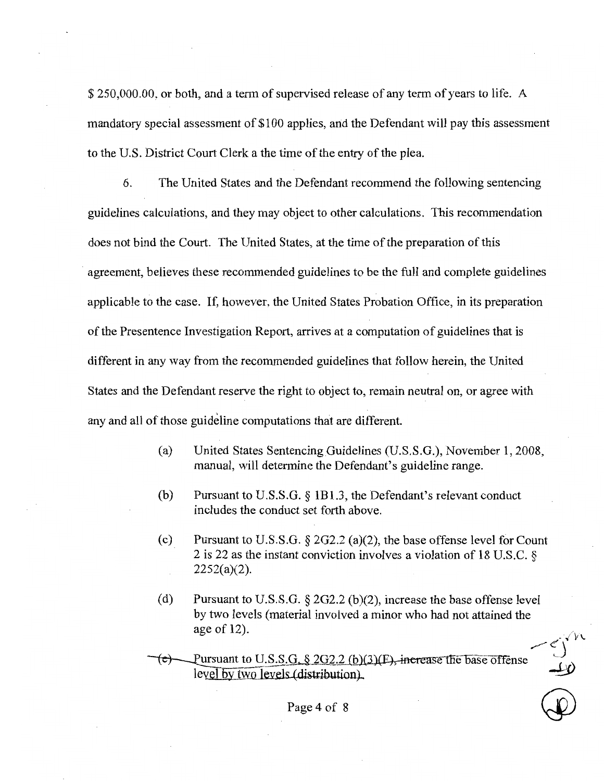\$ 250,000.00, or both, and a term of supervised release of any term of years to life. A mandatory special assessment of \$100 applies, and the Defendant will pay this assessment to the U.S. District Court Clerk a the time of the entry of the plea.

6. The United States and the Defendant recommend the following sentencing guidelines calculations, and they may object to other calculations. This recommendation does not bind the Court. The United States, at the time of the preparation of this agreement, believes these recommended guidelines to be the full and complete guidelines applicable to the case. If, however, the United States Probation Office, in its preparation ofthe Presentence Investigation Report, arrives at a computation of guidelines that is different in any way from the recommended guidelines that follow herein, the United States and the Defendant reserve the right to object to, remain neutral on, or agree with any and all of those guideline computations that are different.

- (a) United States Sentencing Guidelines (U.S.S.G.), November 1,2008, manual, will determine the Defendant's guideline range.
- (b) Pursuant to U.S.S.G. § 1B1.3, the Defendant's relevant conduct includes the conduct set forth above.
- (c) Pursuant to U.S.S.G.  $\S 2G2.2$  (a)(2), the base offense level for Count 2 is 22 as the instant conviction involves a violation of 18 U.S.C. §  $2252(a)(2)$ .
- (d) Pursuant to U.S.S.G.  $\S 2G2.2$  (b)(2), increase the base offense level by two levels (material involved a minor who had not attained the age of 12).  $\sqrt{V}$

 $\bigoplus$ 

Pursuant to U.S.S.G.  $\S$  2G2.2 (b)(3)(E), increase the base offense level by two levels (distribution).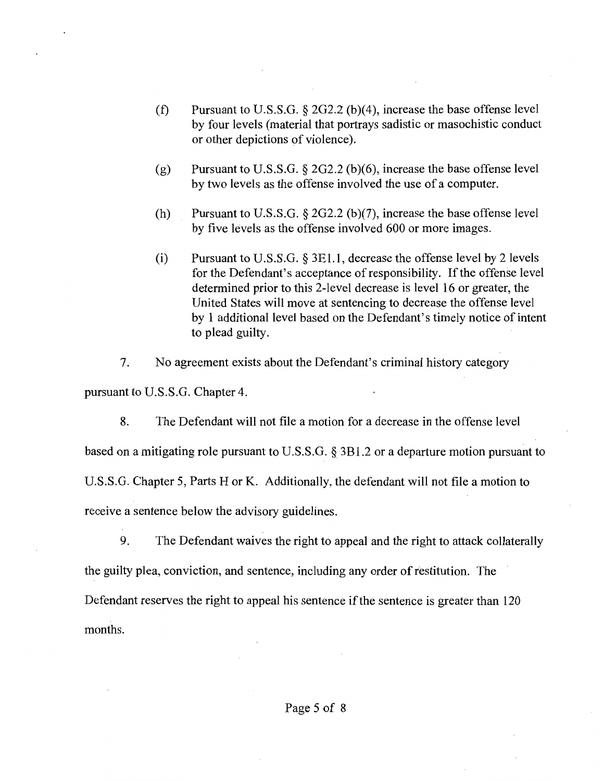- (f) Pursuant to U.S.S.G.  $\S 2G2.2$  (b)(4), increase the base offense level by four levels (material that portrays sadistic or masochistic conduct or other depictions of violence).
- (g) Pursuant to U.S.S.G.  $\S 2G2.2$  (b)(6), increase the base offense level by two levels as the offense involved the use of a computer.
- (h) Pursuant to U.S.S.G. § 2G2.2 (b)(7), increase the base offense level by five levels as the offense involved 600 or more images.
- (i) Pursuant to U.S.S.G.  $\S 3E1.1$ , decrease the offense level by 2 levels for the Defendant's acceptance of responsibility. If the offense level determined prior to this 2-level decrease is level 16 or greater, the United States will move at sentencing to decrease the offense level by 1 additional level based on the Defendant's timely notice of intent to plead guilty.
- 7. No agreement exists about the Defendant's criminal history category

pursuant to U.S.S.G. Chapter 4.

8. The Defendant will not file a motion for a decrease in the offense level based on a mitigating role pursuant to U.S.S.G. § 3B1.2 or a departure motion pursuant to U.S.S.G. Chapter 5, Parts H or K. Additionally, the defendant will not file a motion to receive a sentence below the advisory guidelines.

9. The Defendant waives the right to appeal and the right to attack collaterally the guilty plea, conviction, and sentence, including any order of restitution. The Defendant reserves the right to appeal his sentence if the sentence is greater than 120 months.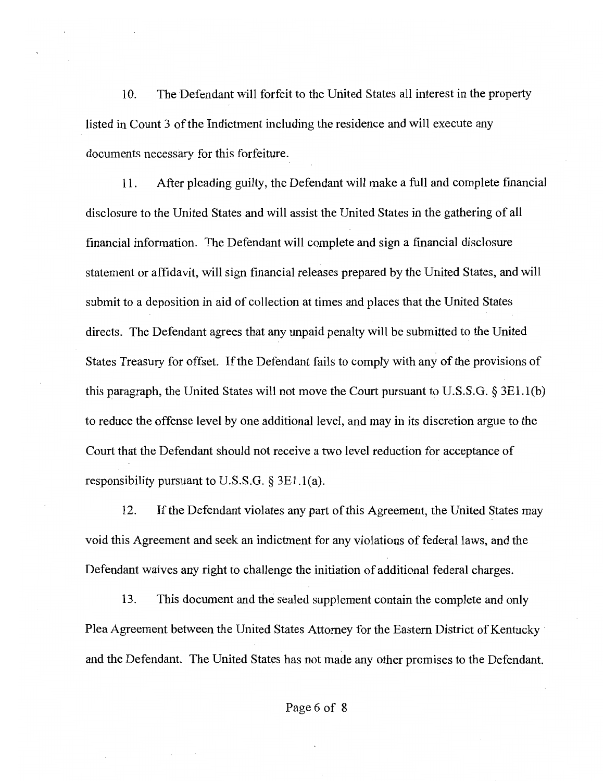10. The Defendant will forfeit to the United States all interest in the property listed in Count 3 of the Indictment including the residence and will execute any documents necessary for this forfeiture.

11. After pleading guilty, the Defendant will make a full and complete financial disclosure to the United States and will assist the United States in the gathering of all financial information. The Defendant will complete and sign a financial disclosure statement or affidavit, will sign financial releases prepared by the United States, and will submit to a deposition in aid of collection at times and places that the United States directs. The Defendant agrees that any unpaid penalty will be submitted to the United States Treasury for offset. If the Defendant fails to comply with any of the provisions of this paragraph, the United States will not move the Court pursuant to U.S.S.G. § 3E1.1(b) to reduce the offense level by one additional level, and may in its discretion argue to the Court that the Defendant should not receive a two level reduction for acceptance of responsibility pursuant to U.S.S.G.  $\S 3E1.1(a)$ .

12. If the Defendant violates any part of this Agreement, the United States may void this Agreement and seek an indictment for any violations of federal laws, and the Defendant waives any right to challenge the initiation of additional federal charges.

13. This document and the sealed supplement contain the complete and only Plea Agreement between the United States Attorney for the Eastern District of Kentucky and the Defendant. The United States has not made any other promises to the Defendant.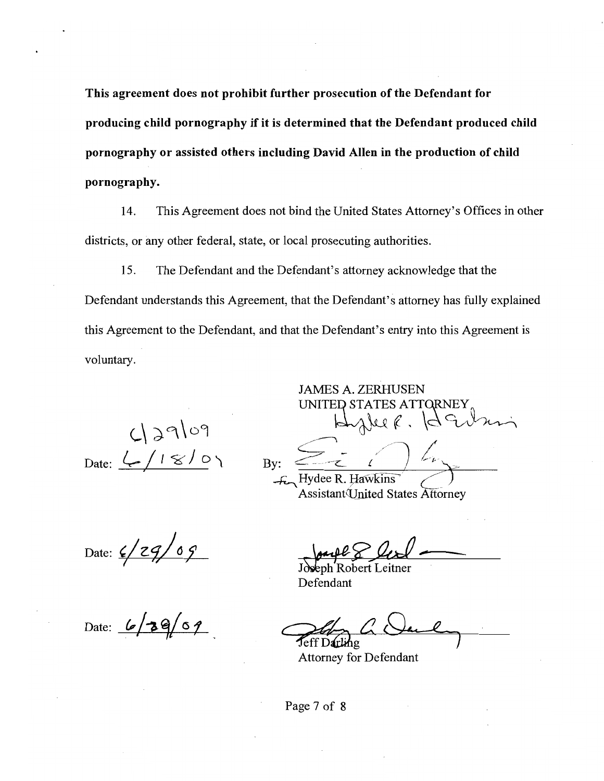This agreement does not prohibit further prosecution of the Defendant for producing child pornography if it is determined that the Defendant produced child pornography or assisted others including David Allen in the production of child pornography.

14. This Agreement does not bind the United States Attorney's Offices in other districts, or any other federal, state, or local prosecuting authorities.

15. The Defendant and the Defendant's attorney acknowledge that the Defendant understands this Agreement, that the Defendant's attorney has fully explained this Agreement to the Defendant, and that the Defendant's entry into this Agreement is voluntary.

 $L$   $29109$ <br> $L / 18/07$  Bv: Date:  $L/18/0$  By:  $2i$   $L_1$ 

UNITED STATES ATTORNEY Fornismight

Hydee R. Hawkins<br>Assistant United States Attorney

JAMES A. ZERHUSEN

Date:

Date:  $6/39/09$ 

1/29/09 Joseph Robert Leitner

Defendant

Teff Darling

Attorney for Defendant

Page 7 of 8